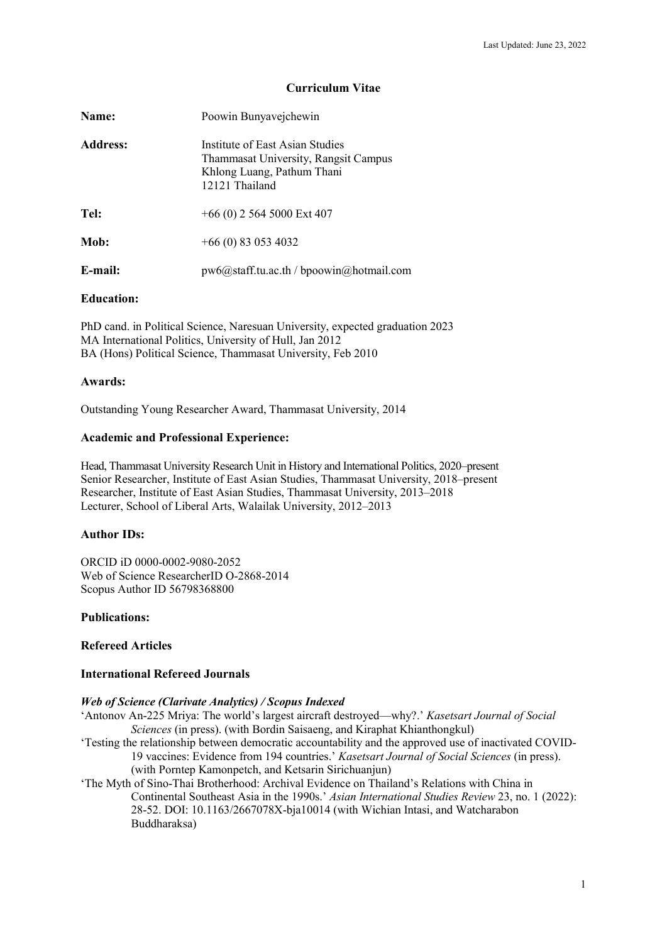# **Curriculum Vitae**

| Name:           | Poowin Bunyavejchewin                                                                                                   |
|-----------------|-------------------------------------------------------------------------------------------------------------------------|
| <b>Address:</b> | Institute of East Asian Studies<br>Thammasat University, Rangsit Campus<br>Khlong Luang, Pathum Thani<br>12121 Thailand |
| Tel:            | $+66(0)$ 2 564 5000 Ext 407                                                                                             |
| Mob:            | $+66(0)$ 83 053 4032                                                                                                    |
| E-mail:         | pw6@staff.tu.ac.th / bpoowin@hotmail.com                                                                                |

## **Education:**

PhD cand. in Political Science, Naresuan University, expected graduation 2023 MA International Politics, University of Hull, Jan 2012 BA (Hons) Political Science, Thammasat University, Feb 2010

# **Awards:**

Outstanding Young Researcher Award, Thammasat University, 2014

# **Academic and Professional Experience:**

Head, Thammasat University Research Unit in History and International Politics, 2020–present Senior Researcher, Institute of East Asian Studies, Thammasat University, 2018–present Researcher, Institute of East Asian Studies, Thammasat University, 2013–2018 Lecturer, School of Liberal Arts, Walailak University, 2012–2013

# **Author IDs:**

ORCID iD 0000-0002-9080-2052 Web of Science ResearcherID O-2868-2014 Scopus Author ID 56798368800

## **Publications:**

# **Refereed Articles**

# **International Refereed Journals**

## *Web of Science (Clarivate Analytics) / Scopus Indexed*

- 'Antonov An-225 Mriya: The world's largest aircraft destroyed—why?.' *Kasetsart Journal of Social Sciences* (in press). (with Bordin Saisaeng, and Kiraphat Khianthongkul)
- 'Testing the relationship between democratic accountability and the approved use of inactivated COVID-19 vaccines: Evidence from 194 countries.' *Kasetsart Journal of Social Sciences* (in press). (with Porntep Kamonpetch, and Ketsarin Sirichuanjun)
- 'The Myth of Sino-Thai Brotherhood: Archival Evidence on Thailand's Relations with China in Continental Southeast Asia in the 1990s.' *Asian International Studies Review* 23, no. 1 (2022): 28-52. DOI: 10.1163/2667078X-bja10014 (with Wichian Intasi, and Watcharabon Buddharaksa)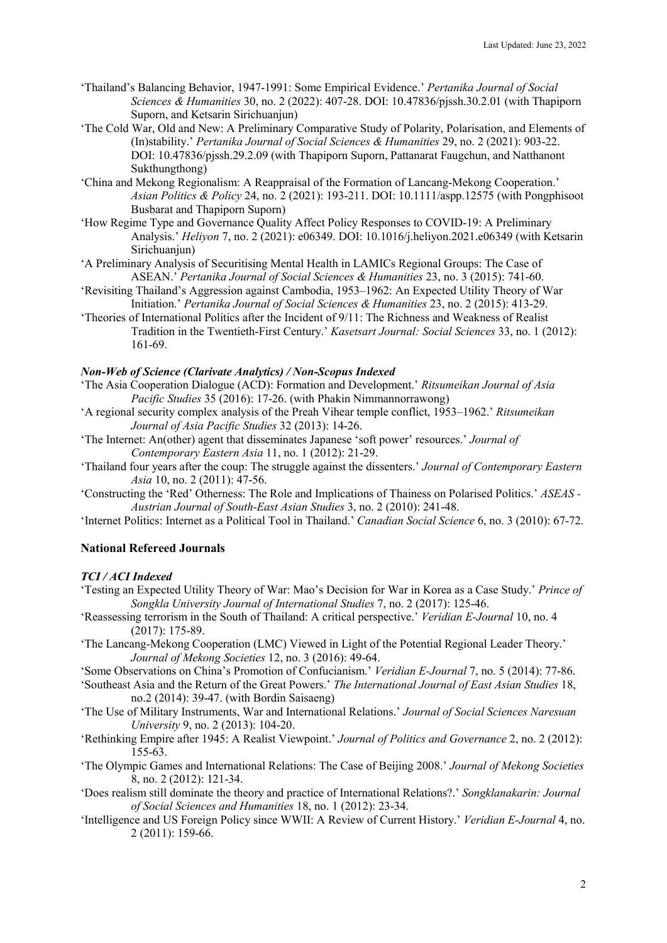- 'Thailand's Balancing Behavior, 1947-1991: Some Empirical Evidence.' *Pertanika Journal of Social Sciences & Humanities* 30, no. 2 (2022): 407-28. DOI: 10.47836/pjssh.30.2.01 (with Thapiporn Suporn, and Ketsarin Sirichuanjun)
- 'The Cold War, Old and New: A Preliminary Comparative Study of Polarity, Polarisation, and Elements of (In)stability.' *Pertanika Journal of Social Sciences & Humanities* 29, no. 2 (2021): 903-22. DOI: 10.47836/pjssh.29.2.09 (with Thapiporn Suporn, Pattanarat Faugchun, and Natthanont Sukthungthong)
- 'China and Mekong Regionalism: A Reappraisal of the Formation of Lancang-Mekong Cooperation.' *Asian Politics & Policy* 24, no. 2 (2021): 193-211. DOI: 10.1111/aspp.12575 (with Pongphisoot Busbarat and Thapiporn Suporn)
- 'How Regime Type and Governance Quality Affect Policy Responses to COVID-19: A Preliminary Analysis.' *Heliyon* 7, no. 2 (2021): e06349. DOI: 10.1016/j.heliyon.2021.e06349 (with Ketsarin Sirichuaniun)
- 'A Preliminary Analysis of Securitising Mental Health in LAMICs Regional Groups: The Case of ASEAN.' *Pertanika Journal of Social Sciences & Humanities* 23, no. 3 (2015): 741-60.
- 'Revisiting Thailand's Aggression against Cambodia, 1953–1962: An Expected Utility Theory of War Initiation.' *Pertanika Journal of Social Sciences & Humanities* 23, no. 2 (2015): 413-29.
- 'Theories of International Politics after the Incident of 9/11: The Richness and Weakness of Realist Tradition in the Twentieth-First Century.' *Kasetsart Journal: Social Sciences* 33, no. 1 (2012): 161-69.

## *Non-Web of Science (Clarivate Analytics) / Non-Scopus Indexed*

- 'The Asia Cooperation Dialogue (ACD): Formation and Development.' *Ritsumeikan Journal of Asia Pacific Studies* 35 (2016): 17-26. (with Phakin Nimmannorrawong)
- 'A regional security complex analysis of the Preah Vihear temple conflict, 1953–1962.' *Ritsumeikan Journal of Asia Pacific Studies* 32 (2013): 14-26.
- 'The Internet: An(other) agent that disseminates Japanese 'soft power' resources.' *Journal of Contemporary Eastern Asia* 11, no. 1 (2012): 21-29.
- 'Thailand four years after the coup: The struggle against the dissenters.' *Journal of Contemporary Eastern Asia* 10, no. 2 (2011): 47-56.
- 'Constructing the 'Red' Otherness: The Role and Implications of Thainess on Polarised Politics.' *ASEAS - Austrian Journal of South-East Asian Studies* 3, no. 2 (2010): 241-48.
- 'Internet Politics: Internet as a Political Tool in Thailand.' *Canadian Social Science* 6, no. 3 (2010): 67-72.

# **National Refereed Journals**

## *TCI / ACI Indexed*

- 'Testing an Expected Utility Theory of War: Mao's Decision for War in Korea as a Case Study.' *Prince of Songkla University Journal of International Studies* 7, no. 2 (2017): 125-46.
- 'Reassessing terrorism in the South of Thailand: A critical perspective.' *Veridian E-Journal* 10, no. 4 (2017): 175-89.
- 'The Lancang-Mekong Cooperation (LMC) Viewed in Light of the Potential Regional Leader Theory.' *Journal of Mekong Societies* 12, no. 3 (2016): 49-64.
- 'Some Observations on China's Promotion of Confucianism.' *Veridian E-Journal* 7, no. 5 (2014): 77-86.
- 'Southeast Asia and the Return of the Great Powers.' *The International Journal of East Asian Studies* 18, no.2 (2014): 39-47. (with Bordin Saisaeng)
- 'The Use of Military Instruments, War and International Relations.' *Journal of Social Sciences Naresuan University* 9, no. 2 (2013): 104-20.
- 'Rethinking Empire after 1945: A Realist Viewpoint.' *Journal of Politics and Governance* 2, no. 2 (2012): 155-63.
- 'The Olympic Games and International Relations: The Case of Beijing 2008.' *Journal of Mekong Societies* 8, no. 2 (2012): 121-34.
- 'Does realism still dominate the theory and practice of International Relations?.' *Songklanakarin: Journal of Social Sciences and Humanities* 18, no. 1 (2012): 23-34.
- 'Intelligence and US Foreign Policy since WWII: A Review of Current History.' *Veridian E-Journal* 4, no. 2 (2011): 159-66.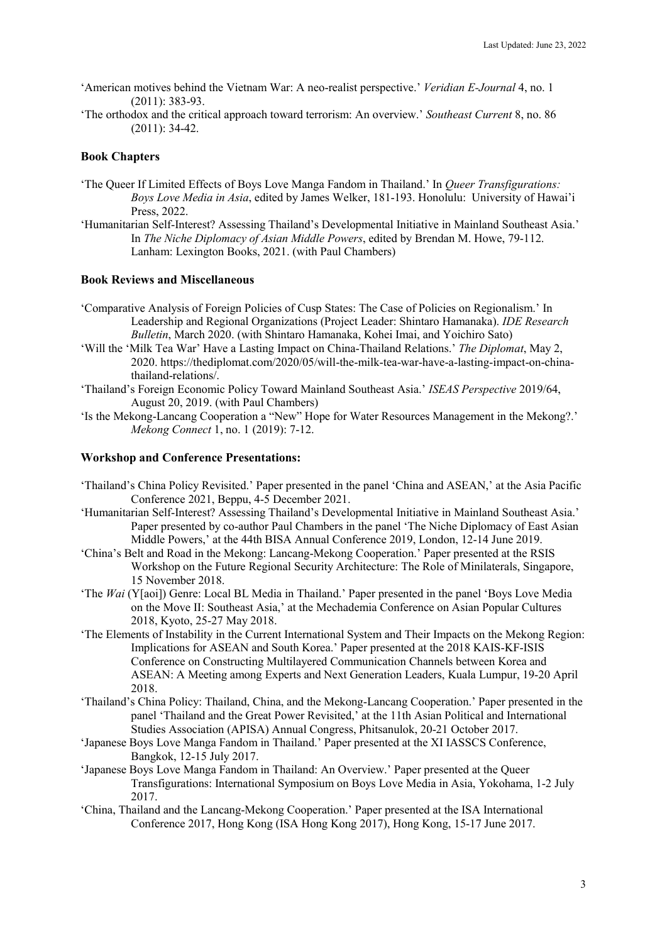- 'American motives behind the Vietnam War: A neo-realist perspective.' *Veridian E-Journal* 4, no. 1 (2011): 383-93.
- 'The orthodox and the critical approach toward terrorism: An overview.' *Southeast Current* 8, no. 86 (2011): 34-42.

# **Book Chapters**

- 'The Queer If Limited Effects of Boys Love Manga Fandom in Thailand.' In *Queer Transfigurations: Boys Love Media in Asia*, edited by James Welker, 181-193. Honolulu: University of Hawai'i Press, 2022.
- 'Humanitarian Self-Interest? Assessing Thailand's Developmental Initiative in Mainland Southeast Asia.' In *The Niche Diplomacy of Asian Middle Powers*, edited by Brendan M. Howe, 79-112. Lanham: Lexington Books, 2021. (with Paul Chambers)

## **Book Reviews and Miscellaneous**

- 'Comparative Analysis of Foreign Policies of Cusp States: The Case of Policies on Regionalism.' In Leadership and Regional Organizations (Project Leader: Shintaro Hamanaka). *IDE Research Bulletin*, March 2020. (with Shintaro Hamanaka, Kohei Imai, and Yoichiro Sato)
- 'Will the 'Milk Tea War' Have a Lasting Impact on China-Thailand Relations.' *The Diplomat*, May 2, 2020. https://thediplomat.com/2020/05/will-the-milk-tea-war-have-a-lasting-impact-on-chinathailand-relations/.
- 'Thailand's Foreign Economic Policy Toward Mainland Southeast Asia.' *ISEAS Perspective* 2019/64, August 20, 2019. (with Paul Chambers)
- 'Is the Mekong-Lancang Cooperation a "New" Hope for Water Resources Management in the Mekong?.' *Mekong Connect* 1, no. 1 (2019): 7-12.

## **Workshop and Conference Presentations:**

- 'Thailand's China Policy Revisited.' Paper presented in the panel 'China and ASEAN,' at the Asia Pacific Conference 2021, Beppu, 4-5 December 2021.
- 'Humanitarian Self-Interest? Assessing Thailand's Developmental Initiative in Mainland Southeast Asia.' Paper presented by co-author Paul Chambers in the panel 'The Niche Diplomacy of East Asian Middle Powers,' at the 44th BISA Annual Conference 2019, London, 12-14 June 2019.
- 'China's Belt and Road in the Mekong: Lancang-Mekong Cooperation.' Paper presented at the RSIS Workshop on the Future Regional Security Architecture: The Role of Minilaterals, Singapore, 15 November 2018.
- 'The *Wai* (Y[aoi]) Genre: Local BL Media in Thailand.' Paper presented in the panel 'Boys Love Media on the Move II: Southeast Asia,' at the Mechademia Conference on Asian Popular Cultures 2018, Kyoto, 25-27 May 2018.
- 'The Elements of Instability in the Current International System and Their Impacts on the Mekong Region: Implications for ASEAN and South Korea.' Paper presented at the 2018 KAIS-KF-ISIS Conference on Constructing Multilayered Communication Channels between Korea and ASEAN: A Meeting among Experts and Next Generation Leaders, Kuala Lumpur, 19-20 April 2018.
- 'Thailand's China Policy: Thailand, China, and the Mekong-Lancang Cooperation.' Paper presented in the panel 'Thailand and the Great Power Revisited,' at the 11th Asian Political and International Studies Association (APISA) Annual Congress, Phitsanulok, 20-21 October 2017.
- 'Japanese Boys Love Manga Fandom in Thailand.' Paper presented at the XI IASSCS Conference, Bangkok, 12-15 July 2017.
- 'Japanese Boys Love Manga Fandom in Thailand: An Overview.' Paper presented at the Queer Transfigurations: International Symposium on Boys Love Media in Asia, Yokohama, 1-2 July 2017.
- 'China, Thailand and the Lancang-Mekong Cooperation.' Paper presented at the ISA International Conference 2017, Hong Kong (ISA Hong Kong 2017), Hong Kong, 15-17 June 2017.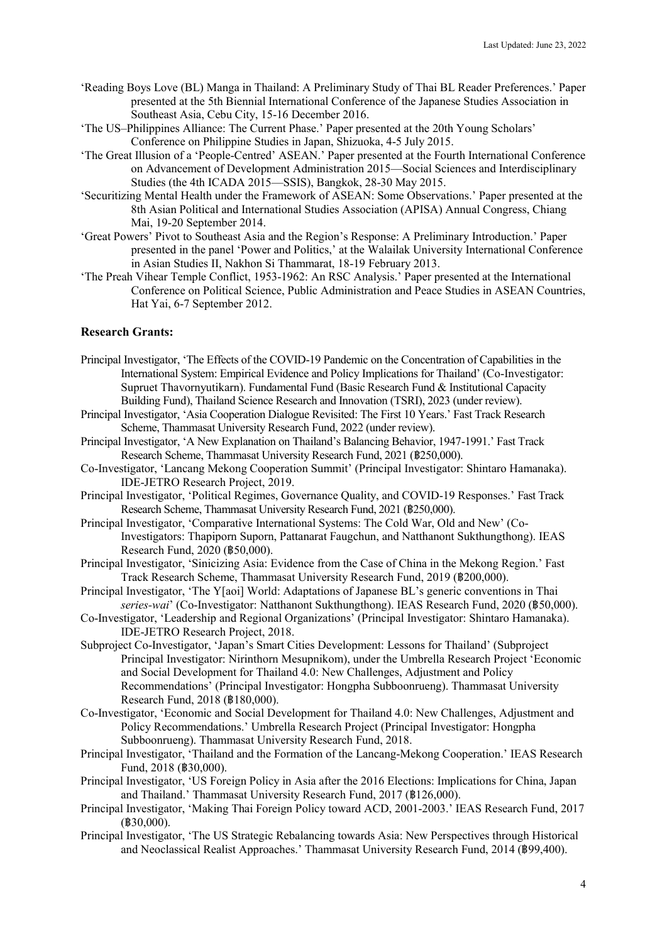- 'Reading Boys Love (BL) Manga in Thailand: A Preliminary Study of Thai BL Reader Preferences.' Paper presented at the 5th Biennial International Conference of the Japanese Studies Association in Southeast Asia, Cebu City, 15-16 December 2016.
- 'The US–Philippines Alliance: The Current Phase.' Paper presented at the 20th Young Scholars' Conference on Philippine Studies in Japan, Shizuoka, 4-5 July 2015.
- 'The Great Illusion of a 'People-Centred' ASEAN.' Paper presented at the Fourth International Conference on Advancement of Development Administration 2015—Social Sciences and Interdisciplinary Studies (the 4th ICADA 2015—SSIS), Bangkok, 28-30 May 2015.
- 'Securitizing Mental Health under the Framework of ASEAN: Some Observations.' Paper presented at the 8th Asian Political and International Studies Association (APISA) Annual Congress, Chiang Mai, 19-20 September 2014.
- 'Great Powers' Pivot to Southeast Asia and the Region's Response: A Preliminary Introduction.' Paper presented in the panel 'Power and Politics,' at the Walailak University International Conference in Asian Studies II, Nakhon Si Thammarat, 18-19 February 2013.
- 'The Preah Vihear Temple Conflict, 1953-1962: An RSC Analysis.' Paper presented at the International Conference on Political Science, Public Administration and Peace Studies in ASEAN Countries, Hat Yai, 6-7 September 2012.

# **Research Grants:**

- Principal Investigator, 'The Effects of the COVID-19 Pandemic on the Concentration of Capabilities in the International System: Empirical Evidence and Policy Implications for Thailand' (Co-Investigator: Supruet Thavornyutikarn). Fundamental Fund (Basic Research Fund & Institutional Capacity Building Fund), Thailand Science Research and Innovation (TSRI), 2023 (under review).
- Principal Investigator, 'Asia Cooperation Dialogue Revisited: The First 10 Years.' Fast Track Research Scheme, Thammasat University Research Fund, 2022 (under review).
- Principal Investigator, 'A New Explanation on Thailand's Balancing Behavior, 1947-1991.' Fast Track Research Scheme, Thammasat University Research Fund, 2021 (฿250,000).
- Co-Investigator, 'Lancang Mekong Cooperation Summit' (Principal Investigator: Shintaro Hamanaka). IDE-JETRO Research Project, 2019.
- Principal Investigator, 'Political Regimes, Governance Quality, and COVID-19 Responses.' Fast Track Research Scheme, Thammasat University Research Fund, 2021 (฿250,000).
- Principal Investigator, 'Comparative International Systems: The Cold War, Old and New' (Co-Investigators: Thapiporn Suporn, Pattanarat Faugchun, and Natthanont Sukthungthong). IEAS Research Fund, 2020 (฿50,000).
- Principal Investigator, 'Sinicizing Asia: Evidence from the Case of China in the Mekong Region.' Fast Track Research Scheme, Thammasat University Research Fund, 2019 (฿200,000).
- Principal Investigator, 'The Y[aoi] World: Adaptations of Japanese BL's generic conventions in Thai *series-wai*' (Co-Investigator: Natthanont Sukthungthong). IEAS Research Fund, 2020 (฿50,000).
- Co-Investigator, 'Leadership and Regional Organizations' (Principal Investigator: Shintaro Hamanaka). IDE-JETRO Research Project, 2018.
- Subproject Co-Investigator, 'Japan's Smart Cities Development: Lessons for Thailand' (Subproject Principal Investigator: Nirinthorn Mesupnikom), under the Umbrella Research Project 'Economic and Social Development for Thailand 4.0: New Challenges, Adjustment and Policy Recommendations' (Principal Investigator: Hongpha Subboonrueng). Thammasat University Research Fund, 2018 (฿180,000).
- Co-Investigator, 'Economic and Social Development for Thailand 4.0: New Challenges, Adjustment and Policy Recommendations.' Umbrella Research Project (Principal Investigator: Hongpha Subboonrueng). Thammasat University Research Fund, 2018.
- Principal Investigator, 'Thailand and the Formation of the Lancang-Mekong Cooperation.' IEAS Research Fund, 2018 (฿30,000).
- Principal Investigator, 'US Foreign Policy in Asia after the 2016 Elections: Implications for China, Japan and Thailand.' Thammasat University Research Fund, 2017 (฿126,000).
- Principal Investigator, 'Making Thai Foreign Policy toward ACD, 2001-2003.' IEAS Research Fund, 2017 (฿30,000).
- Principal Investigator, 'The US Strategic Rebalancing towards Asia: New Perspectives through Historical and Neoclassical Realist Approaches.' Thammasat University Research Fund, 2014 (฿99,400).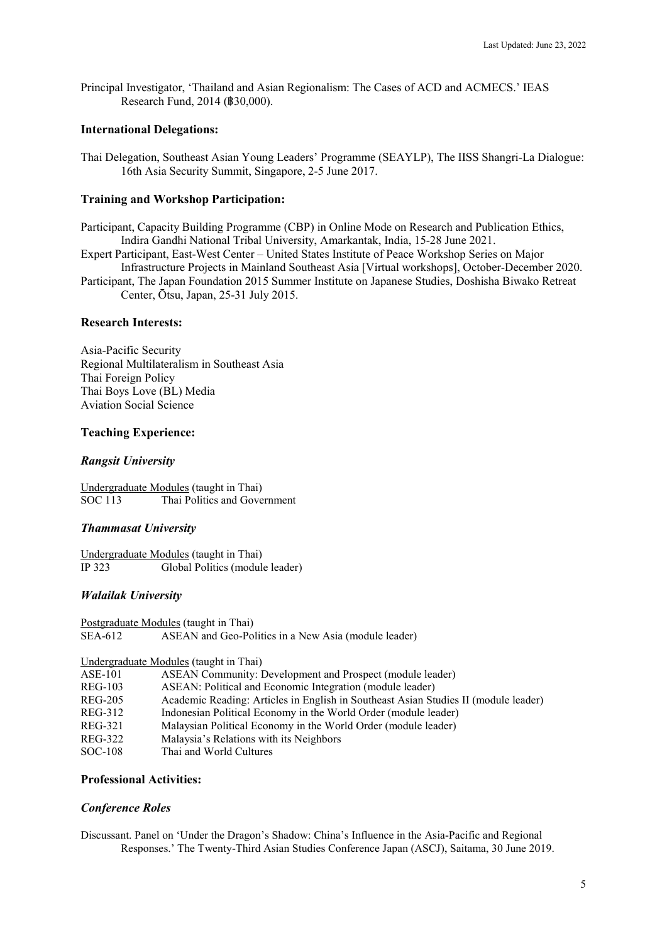Principal Investigator, 'Thailand and Asian Regionalism: The Cases of ACD and ACMECS.' IEAS Research Fund, 2014 (฿30,000).

# **International Delegations:**

Thai Delegation, Southeast Asian Young Leaders' Programme (SEAYLP), The IISS Shangri-La Dialogue: 16th Asia Security Summit, Singapore, 2-5 June 2017.

# **Training and Workshop Participation:**

Participant, Capacity Building Programme (CBP) in Online Mode on Research and Publication Ethics, Indira Gandhi National Tribal University, Amarkantak, India, 15-28 June 2021.

Expert Participant, East-West Center – United States Institute of Peace Workshop Series on Major Infrastructure Projects in Mainland Southeast Asia [Virtual workshops], October-December 2020.

Participant, The Japan Foundation 2015 Summer Institute on Japanese Studies, Doshisha Biwako Retreat Center, Ōtsu, Japan, 25-31 July 2015.

## **Research Interests:**

Asia-Pacific Security Regional Multilateralism in Southeast Asia Thai Foreign Policy Thai Boys Love (BL) Media Aviation Social Science

## **Teaching Experience:**

# *Rangsit University*

Undergraduate Modules (taught in Thai) Thai Politics and Government

# *Thammasat University*

Undergraduate Modules (taught in Thai) IP 323 Global Politics (module leader)

# *Walailak University*

Postgraduate Modules (taught in Thai)<br>SEA-612 ASEAN and Geo-Po ASEAN and Geo-Politics in a New Asia (module leader)

# Undergraduate Modules (taught in Thai)

| $ASE-101$ | ASEAN Community: Development and Prospect (module leader) |  |  |  |
|-----------|-----------------------------------------------------------|--|--|--|
|-----------|-----------------------------------------------------------|--|--|--|

- REG-103 ASEAN: Political and Economic Integration (module leader)
- REG-205 Academic Reading: Articles in English in Southeast Asian Studies II (module leader)
- REG-312 Indonesian Political Economy in the World Order (module leader)
- REG-321 Malaysian Political Economy in the World Order (module leader)
- REG-322 Malaysia's Relations with its Neighbors
- SOC-108 Thai and World Cultures

# **Professional Activities:**

## *Conference Roles*

Discussant. Panel on 'Under the Dragon's Shadow: China's Influence in the Asia-Pacific and Regional Responses.' The Twenty-Third Asian Studies Conference Japan (ASCJ), Saitama, 30 June 2019.